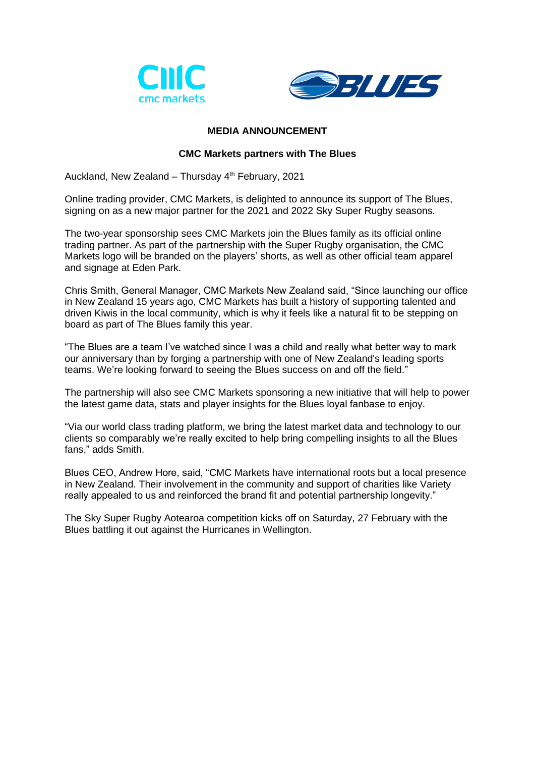



## **MEDIA ANNOUNCEMENT**

## **CMC Markets partners with The Blues**

Auckland, New Zealand – Thursday  $4<sup>th</sup>$  February, 2021

Online trading provider, CMC Markets, is delighted to announce its support of The Blues, signing on as a new major partner for the 2021 and 2022 Sky Super Rugby seasons.

The two-year sponsorship sees CMC Markets join the Blues family as its official online trading partner. As part of the partnership with the Super Rugby organisation, the CMC Markets logo will be branded on the players' shorts, as well as other official team apparel and signage at Eden Park.

Chris Smith, General Manager, CMC Markets New Zealand said, "Since launching our office in New Zealand 15 years ago, CMC Markets has built a history of supporting talented and driven Kiwis in the local community, which is why it feels like a natural fit to be stepping on board as part of The Blues family this year.

"The Blues are a team I've watched since I was a child and really what better way to mark our anniversary than by forging a partnership with one of New Zealand's leading sports teams. We're looking forward to seeing the Blues success on and off the field."

The partnership will also see CMC Markets sponsoring a new initiative that will help to power the latest game data, stats and player insights for the Blues loyal fanbase to enjoy.

"Via our world class trading platform, we bring the latest market data and technology to our clients so comparably we're really excited to help bring compelling insights to all the Blues fans," adds Smith.

Blues CEO, Andrew Hore, said, "CMC Markets have international roots but a local presence in New Zealand. Their involvement in the community and support of charities like Variety really appealed to us and reinforced the brand fit and potential partnership longevity."

The Sky Super Rugby Aotearoa competition kicks off on Saturday, 27 February with the Blues battling it out against the Hurricanes in Wellington.